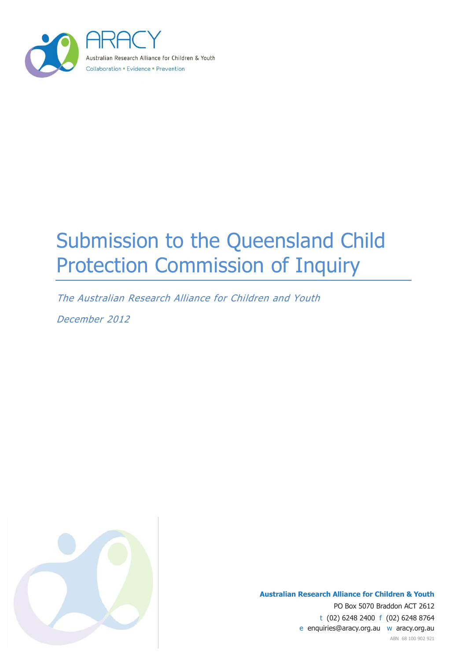

# Submission to the Queensland Child Protection Commission of Inquiry

The Australian Research Alliance for Children and Youth

December 2012



**Australian Research Alliance for Children & Youth** PO Box 5070 Braddon ACT 2612 t (02) 6248 2400 f (02) 6248 8764 e enquiries@aracy.org.au w aracy.org.au ABN 68 100 902 921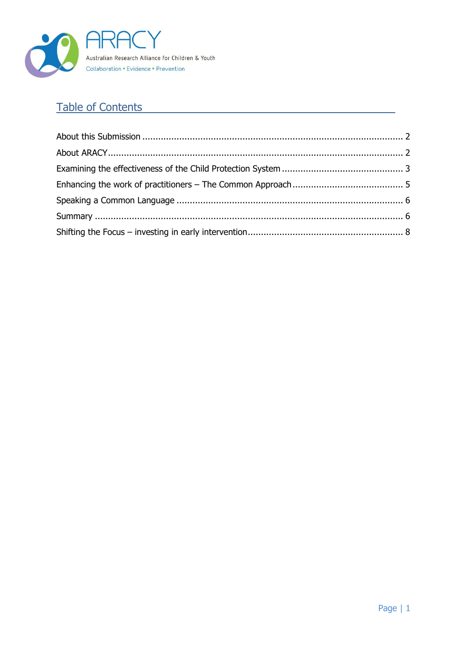

## **Table of Contents**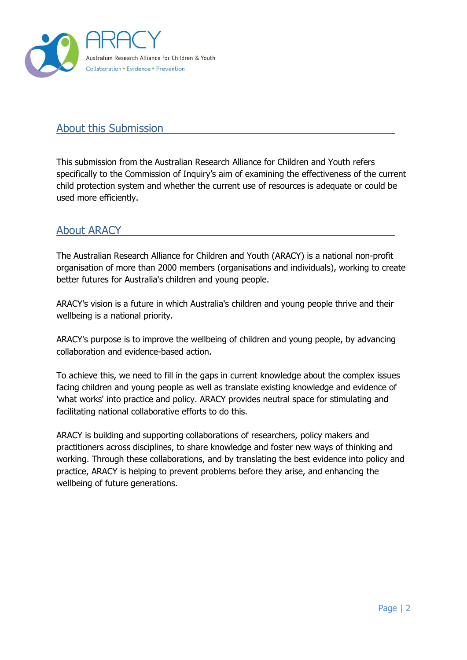

#### <span id="page-2-0"></span>About this Submission

This submission from the Australian Research Alliance for Children and Youth refers specifically to the Commission of Inquiry's aim of examining the effectiveness of the current child protection system and whether the current use of resources is adequate or could be used more efficiently.

#### <span id="page-2-1"></span>About ARACY

The Australian Research Alliance for Children and Youth (ARACY) is a national non-profit organisation of more than 2000 members (organisations and individuals), working to create better futures for Australia's children and young people.

ARACY's vision is a future in which Australia's children and young people thrive and their wellbeing is a national priority.

ARACY's purpose is to improve the wellbeing of children and young people, by advancing collaboration and evidence-based action.

To achieve this, we need to fill in the gaps in current knowledge about the complex issues facing children and young people as well as translate existing knowledge and evidence of 'what works' into practice and policy. ARACY provides neutral space for stimulating and facilitating national collaborative efforts to do this.

ARACY is building and supporting collaborations of researchers, policy makers and practitioners across disciplines, to share knowledge and foster new ways of thinking and working. Through these collaborations, and by translating the best evidence into policy and practice, ARACY is helping to prevent problems before they arise, and enhancing the wellbeing of future generations.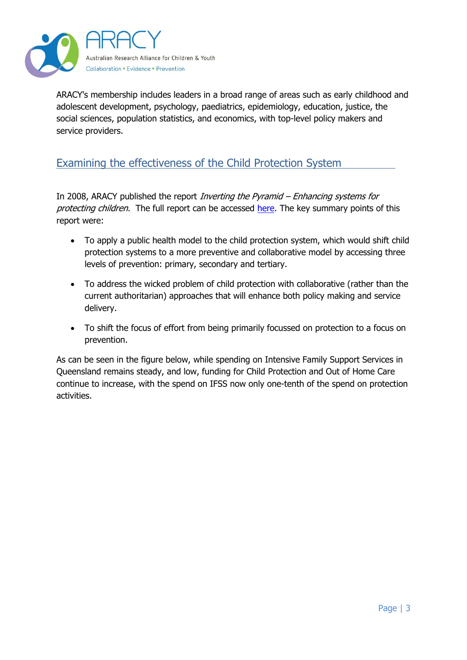

ARACY's membership includes leaders in a broad range of areas such as early childhood and adolescent development, psychology, paediatrics, epidemiology, education, justice, the social sciences, population statistics, and economics, with top-level policy makers and service providers.

#### <span id="page-3-0"></span>Examining the effectiveness of the Child Protection System

In 2008, ARACY published the report *Inverting the Pyramid – Enhancing systems for* protecting children. The full report can be accessed [here.](http://www.aracy.org.au/publicationDocuments/REP_Inverting_the_Pyramid_Enhancing_Systems_for_Protecting_Children_2009.pdf) The key summary points of this report were:

- To apply a public health model to the child protection system, which would shift child protection systems to a more preventive and collaborative model by accessing three levels of prevention: primary, secondary and tertiary.
- To address the wicked problem of child protection with collaborative (rather than the current authoritarian) approaches that will enhance both policy making and service delivery.
- To shift the focus of effort from being primarily focussed on protection to a focus on prevention.

As can be seen in the figure below, while spending on Intensive Family Support Services in Queensland remains steady, and low, funding for Child Protection and Out of Home Care continue to increase, with the spend on IFSS now only one-tenth of the spend on protection activities.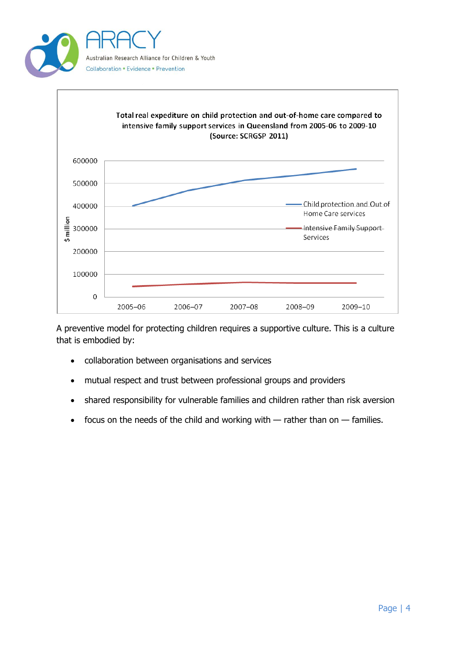



A preventive model for protecting children requires a supportive culture. This is a culture that is embodied by:

- collaboration between organisations and services
- mutual respect and trust between professional groups and providers
- shared responsibility for vulnerable families and children rather than risk aversion
- focus on the needs of the child and working with  $-$  rather than on  $-$  families.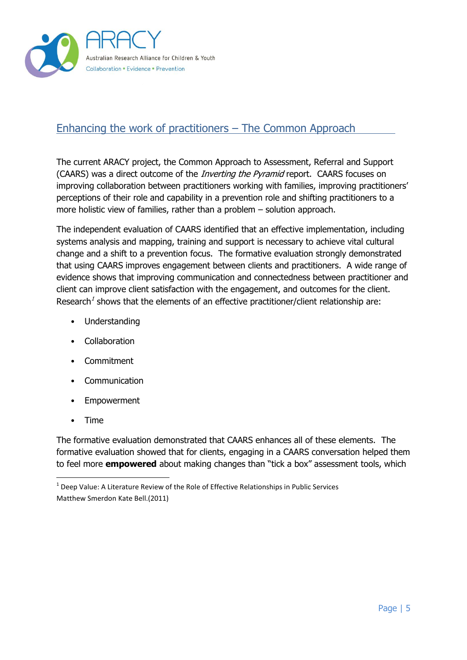

### <span id="page-5-0"></span>Enhancing the work of practitioners – The Common Approach

The current ARACY project, the Common Approach to Assessment, Referral and Support (CAARS) was a direct outcome of the *Inverting the Pyramid* report. CAARS focuses on improving collaboration between practitioners working with families, improving practitioners' perceptions of their role and capability in a prevention role and shifting practitioners to a more holistic view of families, rather than a problem – solution approach.

The independent evaluation of CAARS identified that an effective implementation, including systems analysis and mapping, training and support is necessary to achieve vital cultural change and a shift to a prevention focus. The formative evaluation strongly demonstrated that using CAARS improves engagement between clients and practitioners. A wide range of evidence shows that improving communication and connectedness between practitioner and client can improve client satisfaction with the engagement, and outcomes for the client. Research<sup>1</sup> shows that the elements of an effective practitioner/client relationship are:

- Understanding
- Collaboration
- Commitment
- **Communication**
- **Empowerment**
- Time

-

The formative evaluation demonstrated that CAARS enhances all of these elements. The formative evaluation showed that for clients, engaging in a CAARS conversation helped them to feel more **empowered** about making changes than "tick a box" assessment tools, which

 $1$  Deep Value: A Literature Review of the Role of Effective Relationships in Public Services Matthew Smerdon Kate Bell.(2011)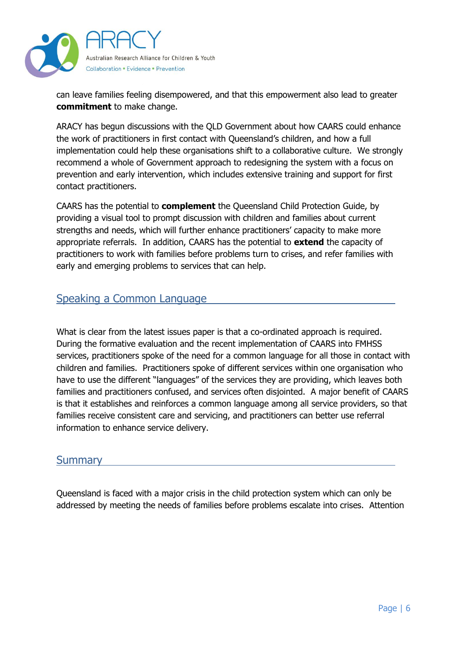

can leave families feeling disempowered, and that this empowerment also lead to greater **commitment** to make change.

ARACY has begun discussions with the QLD Government about how CAARS could enhance the work of practitioners in first contact with Queensland's children, and how a full implementation could help these organisations shift to a collaborative culture. We strongly recommend a whole of Government approach to redesigning the system with a focus on prevention and early intervention, which includes extensive training and support for first contact practitioners.

CAARS has the potential to **complement** the Queensland Child Protection Guide, by providing a visual tool to prompt discussion with children and families about current strengths and needs, which will further enhance practitioners' capacity to make more appropriate referrals. In addition, CAARS has the potential to **extend** the capacity of practitioners to work with families before problems turn to crises, and refer families with early and emerging problems to services that can help.

#### <span id="page-6-0"></span>Speaking a Common Language

What is clear from the latest issues paper is that a co-ordinated approach is required. During the formative evaluation and the recent implementation of CAARS into FMHSS services, practitioners spoke of the need for a common language for all those in contact with children and families. Practitioners spoke of different services within one organisation who have to use the different "languages" of the services they are providing, which leaves both families and practitioners confused, and services often disjointed. A major benefit of CAARS is that it establishes and reinforces a common language among all service providers, so that families receive consistent care and servicing, and practitioners can better use referral information to enhance service delivery.

#### <span id="page-6-1"></span>**Summary**

Queensland is faced with a major crisis in the child protection system which can only be addressed by meeting the needs of families before problems escalate into crises. Attention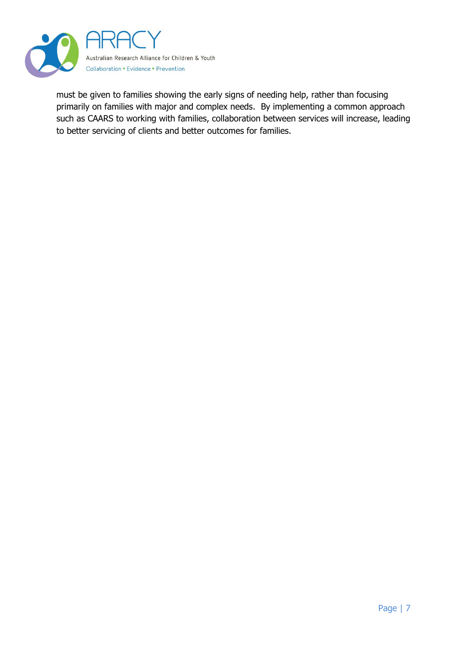

must be given to families showing the early signs of needing help, rather than focusing primarily on families with major and complex needs. By implementing a common approach such as CAARS to working with families, collaboration between services will increase, leading to better servicing of clients and better outcomes for families.